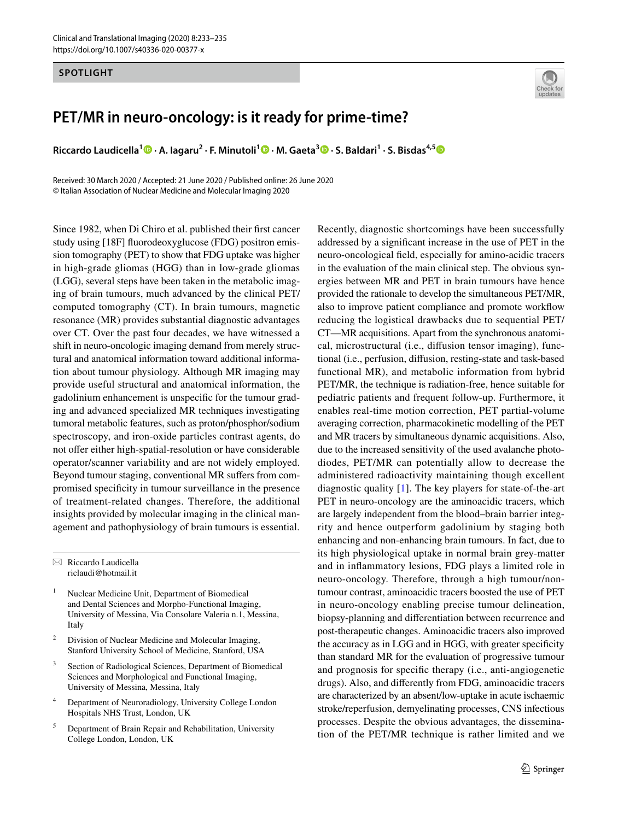### **SPOTLIGHT**



# **PET/MR in neuro‑oncology: is it ready for prime‑time?**

**Riccardo Laudicella1  [·](http://orcid.org/0000-0002-2842-0301) A. Iagaru2 · F. Minutoli1  [·](http://orcid.org/0000-0002-5768-9764) M. Gaeta3  [·](http://orcid.org/0000-0001-9445-8810) S. Baldari1 · S. Bisdas4,[5](http://orcid.org/0000-0001-9930-5549)**

Received: 30 March 2020 / Accepted: 21 June 2020 / Published online: 26 June 2020 © Italian Association of Nuclear Medicine and Molecular Imaging 2020

Since 1982, when Di Chiro et al. published their frst cancer study using [18F] fuorodeoxyglucose (FDG) positron emission tomography (PET) to show that FDG uptake was higher in high-grade gliomas (HGG) than in low-grade gliomas (LGG), several steps have been taken in the metabolic imaging of brain tumours, much advanced by the clinical PET/ computed tomography (CT). In brain tumours, magnetic resonance (MR) provides substantial diagnostic advantages over CT. Over the past four decades, we have witnessed a shift in neuro-oncologic imaging demand from merely structural and anatomical information toward additional information about tumour physiology. Although MR imaging may provide useful structural and anatomical information, the gadolinium enhancement is unspecifc for the tumour grading and advanced specialized MR techniques investigating tumoral metabolic features, such as proton/phosphor/sodium spectroscopy, and iron-oxide particles contrast agents, do not offer either high-spatial-resolution or have considerable operator/scanner variability and are not widely employed. Beyond tumour staging, conventional MR sufers from compromised specifcity in tumour surveillance in the presence of treatment-related changes. Therefore, the additional insights provided by molecular imaging in the clinical management and pathophysiology of brain tumours is essential.

 $\boxtimes$  Riccardo Laudicella riclaudi@hotmail.it

- <sup>1</sup> Nuclear Medicine Unit, Department of Biomedical and Dental Sciences and Morpho-Functional Imaging, University of Messina, Via Consolare Valeria n.1, Messina, Italy
- Division of Nuclear Medicine and Molecular Imaging, Stanford University School of Medicine, Stanford, USA
- Section of Radiological Sciences, Department of Biomedical Sciences and Morphological and Functional Imaging, University of Messina, Messina, Italy
- <sup>4</sup> Department of Neuroradiology, University College London Hospitals NHS Trust, London, UK
- <sup>5</sup> Department of Brain Repair and Rehabilitation, University College London, London, UK

Recently, diagnostic shortcomings have been successfully addressed by a signifcant increase in the use of PET in the neuro-oncological feld, especially for amino-acidic tracers in the evaluation of the main clinical step. The obvious synergies between MR and PET in brain tumours have hence provided the rationale to develop the simultaneous PET/MR, also to improve patient compliance and promote workfow reducing the logistical drawbacks due to sequential PET/ CT—MR acquisitions. Apart from the synchronous anatomical, microstructural (i.e., difusion tensor imaging), functional (i.e., perfusion, difusion, resting-state and task-based functional MR), and metabolic information from hybrid PET/MR, the technique is radiation-free, hence suitable for pediatric patients and frequent follow-up. Furthermore, it enables real-time motion correction, PET partial-volume averaging correction, pharmacokinetic modelling of the PET and MR tracers by simultaneous dynamic acquisitions. Also, due to the increased sensitivity of the used avalanche photodiodes, PET/MR can potentially allow to decrease the administered radioactivity maintaining though excellent diagnostic quality [[1](#page-2-0)]. The key players for state-of-the-art PET in neuro-oncology are the aminoacidic tracers, which are largely independent from the blood–brain barrier integrity and hence outperform gadolinium by staging both enhancing and non-enhancing brain tumours. In fact, due to its high physiological uptake in normal brain grey-matter and in infammatory lesions, FDG plays a limited role in neuro-oncology. Therefore, through a high tumour/nontumour contrast, aminoacidic tracers boosted the use of PET in neuro-oncology enabling precise tumour delineation, biopsy-planning and diferentiation between recurrence and post-therapeutic changes. Aminoacidic tracers also improved the accuracy as in LGG and in HGG, with greater specifcity than standard MR for the evaluation of progressive tumour and prognosis for specifc therapy (i.e., anti-angiogenetic drugs). Also, and diferently from FDG, aminoacidic tracers are characterized by an absent/low-uptake in acute ischaemic stroke/reperfusion, demyelinating processes, CNS infectious processes. Despite the obvious advantages, the dissemination of the PET/MR technique is rather limited and we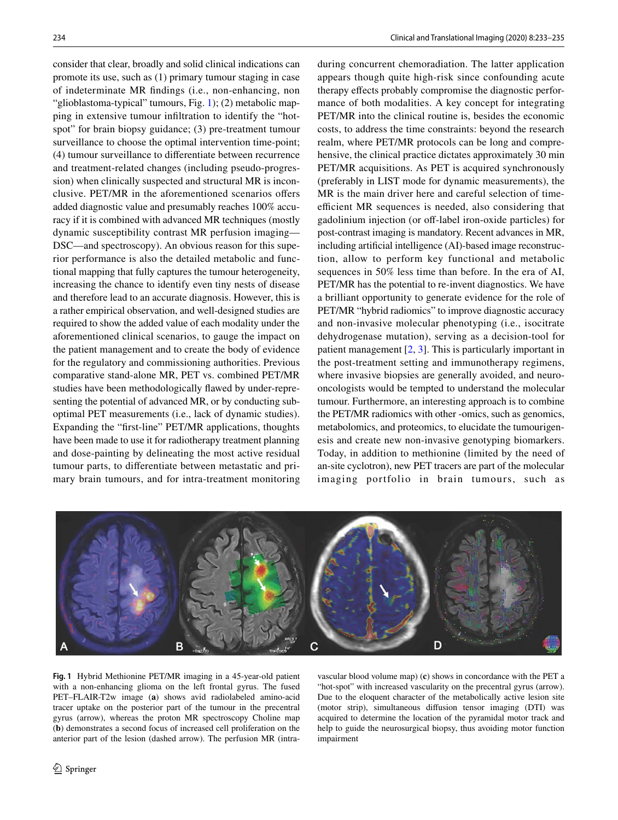consider that clear, broadly and solid clinical indications can promote its use, such as (1) primary tumour staging in case of indeterminate MR fndings (i.e., non-enhancing, non "glioblastoma-typical" tumours, Fig. [1\)](#page-1-0); (2) metabolic mapping in extensive tumour infltration to identify the "hotspot" for brain biopsy guidance; (3) pre-treatment tumour surveillance to choose the optimal intervention time-point; (4) tumour surveillance to diferentiate between recurrence and treatment-related changes (including pseudo-progression) when clinically suspected and structural MR is inconclusive. PET/MR in the aforementioned scenarios ofers added diagnostic value and presumably reaches 100% accuracy if it is combined with advanced MR techniques (mostly dynamic susceptibility contrast MR perfusion imaging— DSC—and spectroscopy). An obvious reason for this superior performance is also the detailed metabolic and functional mapping that fully captures the tumour heterogeneity, increasing the chance to identify even tiny nests of disease and therefore lead to an accurate diagnosis. However, this is a rather empirical observation, and well-designed studies are required to show the added value of each modality under the aforementioned clinical scenarios, to gauge the impact on the patient management and to create the body of evidence for the regulatory and commissioning authorities. Previous comparative stand-alone MR, PET vs. combined PET/MR studies have been methodologically fawed by under-representing the potential of advanced MR, or by conducting suboptimal PET measurements (i.e., lack of dynamic studies). Expanding the "frst-line" PET/MR applications, thoughts have been made to use it for radiotherapy treatment planning and dose-painting by delineating the most active residual tumour parts, to diferentiate between metastatic and primary brain tumours, and for intra-treatment monitoring during concurrent chemoradiation. The latter application appears though quite high-risk since confounding acute therapy effects probably compromise the diagnostic performance of both modalities. A key concept for integrating PET/MR into the clinical routine is, besides the economic costs, to address the time constraints: beyond the research realm, where PET/MR protocols can be long and comprehensive, the clinical practice dictates approximately 30 min PET/MR acquisitions. As PET is acquired synchronously (preferably in LIST mode for dynamic measurements), the MR is the main driver here and careful selection of timeefficient MR sequences is needed, also considering that gadolinium injection (or off-label iron-oxide particles) for post-contrast imaging is mandatory. Recent advances in MR, including artifcial intelligence (AI)-based image reconstruction, allow to perform key functional and metabolic sequences in 50% less time than before. In the era of AI, PET/MR has the potential to re-invent diagnostics. We have a brilliant opportunity to generate evidence for the role of PET/MR "hybrid radiomics" to improve diagnostic accuracy and non-invasive molecular phenotyping (i.e., isocitrate dehydrogenase mutation), serving as a decision-tool for patient management  $[2, 3]$  $[2, 3]$  $[2, 3]$  $[2, 3]$ . This is particularly important in the post-treatment setting and immunotherapy regimens, where invasive biopsies are generally avoided, and neurooncologists would be tempted to understand the molecular tumour. Furthermore, an interesting approach is to combine the PET/MR radiomics with other -omics, such as genomics, metabolomics, and proteomics, to elucidate the tumourigenesis and create new non-invasive genotyping biomarkers. Today, in addition to methionine (limited by the need of an-site cyclotron), new PET tracers are part of the molecular imaging portfolio in brain tumours, such as



<span id="page-1-0"></span>**Fig. 1** Hybrid Methionine PET/MR imaging in a 45-year-old patient with a non-enhancing glioma on the left frontal gyrus. The fused PET–FLAIR-T2w image (**a**) shows avid radiolabeled amino-acid tracer uptake on the posterior part of the tumour in the precentral gyrus (arrow), whereas the proton MR spectroscopy Choline map (**b**) demonstrates a second focus of increased cell proliferation on the anterior part of the lesion (dashed arrow). The perfusion MR (intra-

vascular blood volume map) (**c**) shows in concordance with the PET a "hot-spot" with increased vascularity on the precentral gyrus (arrow). Due to the eloquent character of the metabolically active lesion site (motor strip), simultaneous difusion tensor imaging (DTI) was acquired to determine the location of the pyramidal motor track and help to guide the neurosurgical biopsy, thus avoiding motor function impairment